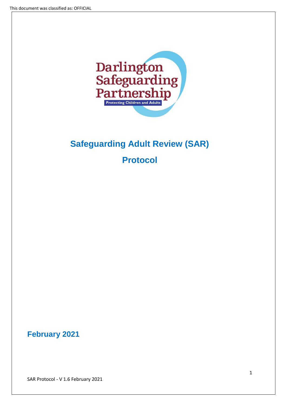

# **Safeguarding Adult Review (SAR)**

**Protocol**

**February 2021** 

SAR Protocol - V 1.6 February 2021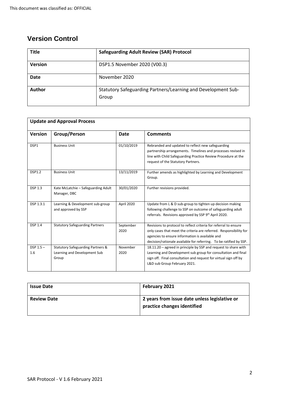# **Version Control**

| <b>Title</b>   | <b>Safeguarding Adult Review (SAR) Protocol</b>                        |
|----------------|------------------------------------------------------------------------|
| <b>Version</b> | DSP1.5 November 2020 (V00.3)                                           |
| <b>Date</b>    | November 2020                                                          |
| Author         | Statutory Safeguarding Partners/Learning and Development Sub-<br>Group |

| <b>Update and Approval Process</b> |                                                                                       |                   |                                                                                                                                                                                                                                                                 |  |
|------------------------------------|---------------------------------------------------------------------------------------|-------------------|-----------------------------------------------------------------------------------------------------------------------------------------------------------------------------------------------------------------------------------------------------------------|--|
| Version                            | Group/Person                                                                          | <b>Date</b>       | <b>Comments</b>                                                                                                                                                                                                                                                 |  |
| DSP1                               | <b>Business Unit</b>                                                                  | 01/10/2019        | Rebranded and updated to reflect new safeguarding<br>partnership arrangements. Timelines and processes revised in<br>line with Child Safeguarding Practice Review Procedure at the<br>request of the Statutory Partners.                                        |  |
| <b>DSP1.2</b>                      | <b>Business Unit</b>                                                                  | 13/11/2019        | Further amends as highlighted by Learning and Development<br>Group.                                                                                                                                                                                             |  |
| <b>DSP 1.3</b>                     | Kate McLatchie - Safeguarding Adult<br>Manager, DBC                                   | 30/01/2020        | Further revisions provided.                                                                                                                                                                                                                                     |  |
| DSP 1.3.1                          | Learning & Development sub-group<br>and approved by SSP                               | April 2020        | Update from L & D sub-group to tighten up decision making<br>following challenge to SSP on outcome of safeguarding adult<br>referrals. Revisions approved by SSP 9th April 2020.                                                                                |  |
| <b>DSP 1.4</b>                     | <b>Statutory Safeguarding Partners</b>                                                | September<br>2020 | Revisions to protocol to reflect criteria for referral to ensure<br>only cases that meet the criteria are referred. Responsibility for<br>agencies to ensure information is available and<br>decision/rationale available for referring. To be ratified by SSP. |  |
| $DSP 1.5 -$<br>1.6                 | <b>Statutory Safeguarding Partners &amp;</b><br>Learning and Development Sub<br>Group | November<br>2020  | 18.11.20 - agreed in principle by SSP and request to share with<br>Learning and Development sub group for consultation and final<br>sign off. Final consultation and request for virtual sign off by<br>L&D sub Group February 2021.                            |  |

| <b>Issue Date</b>  | February 2021                                                                |
|--------------------|------------------------------------------------------------------------------|
| <b>Review Date</b> | 2 years from issue date unless legislative or<br>practice changes identified |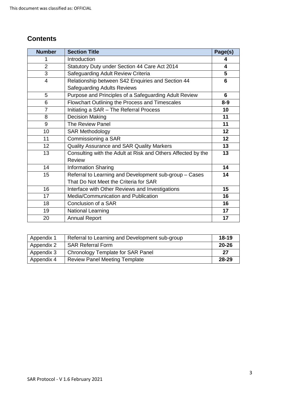# **Contents**

| <b>Number</b>  | <b>Section Title</b>                                         | Page(s) |
|----------------|--------------------------------------------------------------|---------|
| 1              | Introduction                                                 | 4       |
| $\overline{2}$ | Statutory Duty under Section 44 Care Act 2014                | 4       |
| 3              | Safeguarding Adult Review Criteria                           | 5       |
| 4              | Relationship between S42 Enquiries and Section 44            | 6       |
|                | <b>Safeguarding Adults Reviews</b>                           |         |
| 5              | Purpose and Principles of a Safeguarding Adult Review        | 6       |
| 6              | Flowchart Outlining the Process and Timescales               | $8 - 9$ |
| $\overline{7}$ | Initiating a SAR - The Referral Process                      | 10      |
| 8              | Decision Making                                              | 11      |
| 9              | The Review Panel                                             | 11      |
| 10             | <b>SAR Methodology</b>                                       | 12      |
| 11             | Commissioning a SAR                                          | 12      |
| 12             | Quality Assurance and SAR Quality Markers                    | 13      |
| 13             | Consulting with the Adult at Risk and Others Affected by the | 13      |
|                | <b>Review</b>                                                |         |
| 14             | <b>Information Sharing</b>                                   | 14      |
| 15             | Referral to Learning and Development sub-group - Cases       | 14      |
|                | That Do Not Meet the Criteria for SAR                        |         |
| 16             | Interface with Other Reviews and Investigations              | 15      |
| 17             | Media/Communication and Publication                          | 16      |
| 18             | Conclusion of a SAR                                          | 16      |
| 19             | <b>National Learning</b>                                     | 17      |
| 20             | <b>Annual Report</b>                                         | 17      |

| Appendix 1 | Referral to Learning and Development sub-group | $18 - 19$ |
|------------|------------------------------------------------|-----------|
| Appendix 2 | <b>SAR Referral Form</b>                       | 20-26     |
| Appendix 3 | Chronology Template for SAR Panel              | 27        |
| Appendix 4 | <b>Review Panel Meeting Template</b>           | 28-29     |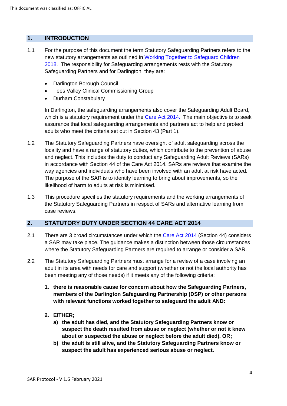#### **1. INTRODUCTION**

- 1.1 For the purpose of this document the term Statutory Safeguarding Partners refers to the new statutory arrangements as outlined in [Working Together to Safeguard Children](https://assets.publishing.service.gov.uk/government/uploads/system/uploads/attachment_data/file/779401/Working_Together_to_Safeguard-Children.pdf)  [2018.](https://assets.publishing.service.gov.uk/government/uploads/system/uploads/attachment_data/file/779401/Working_Together_to_Safeguard-Children.pdf) The responsibility for Safeguarding arrangements rests with the Statutory Safeguarding Partners and for Darlington, they are:
	- Darlington Borough Council
	- Tees Valley Clinical Commissioning Group
	- Durham Constabulary

In Darlington, the safeguarding arrangements also cover the Safeguarding Adult Board, which is a statutory requirement under the [Care Act 2014.](http://www.legislation.gov.uk/ukpga/2014/23/contents/enacted) The main objective is to seek assurance that local safeguarding arrangements and partners act to help and protect adults who meet the criteria set out in Section 43 (Part 1).

- 1.2 The Statutory Safeguarding Partners have oversight of adult safeguarding across the locality and have a range of statutory duties, which contribute to the prevention of abuse and neglect. This includes the duty to conduct any Safeguarding Adult Reviews (SARs) in accordance with Section 44 of the Care Act 2014. SARs are reviews that examine the way agencies and individuals who have been involved with an adult at risk have acted. The purpose of the SAR is to identify learning to bring about improvements, so the likelihood of harm to adults at risk is minimised.
- 1.3 This procedure specifies the statutory requirements and the working arrangements of the Statutory Safeguarding Partners in respect of SARs and alternative learning from case reviews.

#### **2. STATUTORY DUTY UNDER SECTION 44 CARE ACT 2014**

- 2.1 There are 3 broad circumstances under which the [Care Act](https://www.legislation.gov.uk/ukpga/2014/23/section/44/enacted) 2014 (Section 44) considers a SAR may take place. The guidance makes a distinction between those circumstances where the Statutory Safeguarding Partners are required to arrange or consider a SAR.
- 2.2 The Statutory Safeguarding Partners must arrange for a review of a case involving an adult in its area with needs for care and support (whether or not the local authority has been meeting any of those needs) if it meets any of the following criteria:
	- **1. there is reasonable cause for concern about how the Safeguarding Partners, members of the Darlington Safeguarding Partnership (DSP) or other persons with relevant functions worked together to safeguard the adult AND:**
	- **2. EITHER;**
		- **a) the adult has died, and the Statutory Safeguarding Partners know or suspect the death resulted from abuse or neglect (whether or not it knew about or suspected the abuse or neglect before the adult died). OR;**
		- **b) the adult is still alive, and the Statutory Safeguarding Partners know or suspect the adult has experienced serious abuse or neglect.**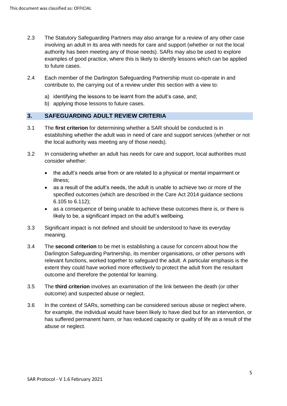- 2.3 The Statutory Safeguarding Partners may also arrange for a review of any other case involving an adult in its area with needs for care and support (whether or not the local authority has been meeting any of those needs). SARs may also be used to explore examples of good practice, where this is likely to identify lessons which can be applied to future cases.
- 2.4 Each member of the Darlington Safeguarding Partnership must co-operate in and contribute to, the carrying out of a review under this section with a view to:
	- a) identifying the lessons to be learnt from the adult's case, and;
	- b) applying those lessons to future cases.

#### **3. SAFEGUARDING ADULT REVIEW CRITERIA**

- 3.1 The **first criterion** for determining whether a SAR should be conducted is in establishing whether the adult was in need of care and support services (whether or not the local authority was meeting any of those needs).
- 3.2 In considering whether an adult has needs for care and support, local authorities must consider whether:
	- the adult's needs arise from or are related to a physical or mental impairment or illness;
	- as a result of the adult's needs, the adult is unable to achieve two or more of the specified outcomes (which are described in the Care Act 2014 guidance sections 6.105 to 6.112);
	- as a consequence of being unable to achieve these outcomes there is, or there is likely to be, a significant impact on the adult's wellbeing.
- 3.3 Significant impact is not defined and should be understood to have its everyday meaning.
- 3.4 The **second criterion** to be met is establishing a cause for concern about how the Darlington Safeguarding Partnership, its member organisations, or other persons with relevant functions, worked together to safeguard the adult. A particular emphasis is the extent they could have worked more effectively to protect the adult from the resultant outcome and therefore the potential for learning.
- 3.5 The **third criterion** involves an examination of the link between the death (or other outcome) and suspected abuse or neglect.
- 3.6 In the context of SARs, something can be considered serious abuse or neglect where, for example, the individual would have been likely to have died but for an intervention, or has suffered permanent harm, or has reduced capacity or quality of life as a result of the abuse or neglect.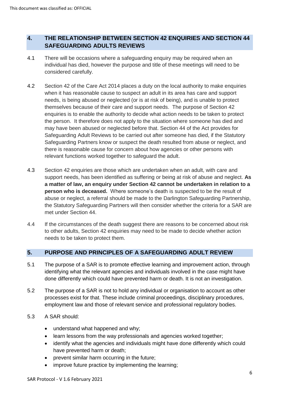# **4. THE RELATIONSHIP BETWEEN SECTION 42 ENQUIRIES AND SECTION 44 SAFEGUARDING ADULTS REVIEWS**

- 4.1 There will be occasions where a safeguarding enquiry may be required when an individual has died, however the purpose and title of these meetings will need to be considered carefully.
- 4.2 Section 42 of the Care Act 2014 places a duty on the local authority to make enquiries when it has reasonable cause to suspect an adult in its area has care and support needs, is being abused or neglected (or is at risk of being), and is unable to protect themselves because of their care and support needs. The purpose of Section 42 enquiries is to enable the authority to decide what action needs to be taken to protect the person. It therefore does not apply to the situation where someone has died and may have been abused or neglected before that. Section 44 of the Act provides for Safeguarding Adult Reviews to be carried out after someone has died, if the Statutory Safeguarding Partners know or suspect the death resulted from abuse or neglect, and there is reasonable cause for concern about how agencies or other persons with relevant functions worked together to safeguard the adult.
- 4.3 Section 42 enquiries are those which are undertaken when an adult, with care and support needs, has been identified as suffering or being at risk of abuse and neglect. **As a matter of law, an enquiry under Section 42 cannot be undertaken in relation to a person who is deceased.** Where someone's death is suspected to be the result of abuse or neglect, a referral should be made to the Darlington Safeguarding Partnership, the Statutory Safeguarding Partners will then consider whether the criteria for a SAR are met under Section 44.
- 4.4 If the circumstances of the death suggest there are reasons to be concerned about risk to other adults, Section 42 enquiries may need to be made to decide whether action needs to be taken to protect them.

# **5. PURPOSE AND PRINCIPLES OF A SAFEGUARDING ADULT REVIEW**

- 5.1 The purpose of a SAR is to promote effective learning and improvement action, through identifying what the relevant agencies and individuals involved in the case might have done differently which could have prevented harm or death. It is not an investigation.
- 5.2 The purpose of a SAR is not to hold any individual or organisation to account as other processes exist for that. These include criminal proceedings, disciplinary procedures, employment law and those of relevant service and professional regulatory bodies.
- 5.3 A SAR should:
	- understand what happened and why;
	- learn lessons from the way professionals and agencies worked together;
	- identify what the agencies and individuals might have done differently which could have prevented harm or death;
	- prevent similar harm occurring in the future;
	- improve future practice by implementing the learning;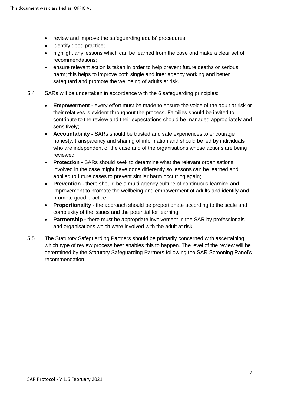- review and improve the safeguarding adults' procedures;
- identify good practice;
- highlight any lessons which can be learned from the case and make a clear set of recommendations;
- ensure relevant action is taken in order to help prevent future deaths or serious harm; this helps to improve both single and inter agency working and better safeguard and promote the wellbeing of adults at risk.
- 5.4 SARs will be undertaken in accordance with the 6 safeguarding principles:
	- **Empowerment** every effort must be made to ensure the voice of the adult at risk or their relatives is evident throughout the process. Families should be invited to contribute to the review and their expectations should be managed appropriately and sensitively;
	- **Accountability -** SARs should be trusted and safe experiences to encourage honesty, transparency and sharing of information and should be led by individuals who are independent of the case and of the organisations whose actions are being reviewed;
	- **Protection -** SARs should seek to determine what the relevant organisations involved in the case might have done differently so lessons can be learned and applied to future cases to prevent similar harm occurring again;
	- **Prevention -** there should be a multi-agency culture of continuous learning and improvement to promote the wellbeing and empowerment of adults and identify and promote good practice;
	- **Proportionality**  the approach should be proportionate according to the scale and complexity of the issues and the potential for learning;
	- **Partnership -** there must be appropriate involvement in the SAR by professionals and organisations which were involved with the adult at risk.
- 5.5 The Statutory Safeguarding Partners should be primarily concerned with ascertaining which type of review process best enables this to happen. The level of the review will be determined by the Statutory Safeguarding Partners following the SAR Screening Panel's recommendation.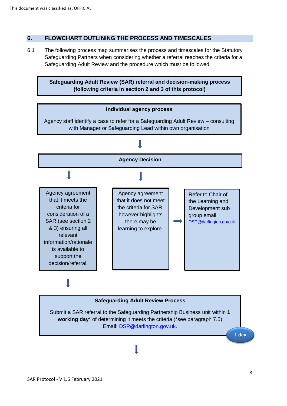### **6. FLOWCHART OUTLINING THE PROCESS AND TIMESCALES**

6.1 The following process map summarises the process and timescales for the Statutory Safeguarding Partners when considering whether a referral reaches the criteria for a Safeguarding Adult Review and the procedure which must be followed:

**Safeguarding Adult Review (SAR) referral and decision-making process (following criteria in section 2 and 3 of this protocol)**



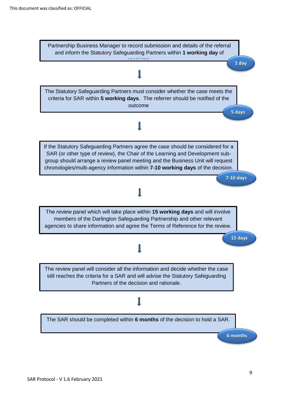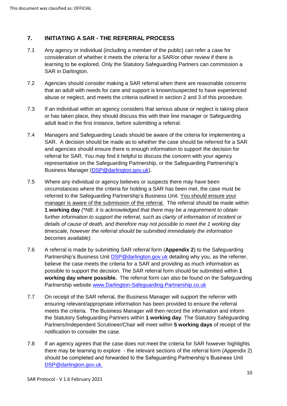# **7. INITIATING A SAR - THE REFERRAL PROCESS**

- 7.1 Any agency or individual (including a member of the public) can refer a case for consideration of whether it meets the criteria for a SAR/or other review if there is learning to be explored. Only the Statutory Safeguarding Partners can commission a SAR in Darlington.
- 7.2 Agencies should consider making a SAR referral when there are reasonable concerns that an adult with needs for care and support is known/suspected to have experienced abuse or neglect, and meets the criteria outlined in section 2 and 3 of this procedure.
- 7.3 If an individual within an agency considers that serious abuse or neglect is taking place or has taken place, they should discuss this with their line manager or Safeguarding adult lead in the first instance, before submitting a referral.
- 7.4 Managers and Safeguarding Leads should be aware of the criteria for implementing a SAR. A decision should be made as to whether the case should be referred for a SAR and agencies should ensure there is enough information to support the decision for referral for SAR. You may find it helpful to discuss the concern with your agency representative on the Safeguarding Partnership, or the Safeguarding Partnership's Business Manager [\(DSP@darlington.gov.uk\)](mailto:DSP@darlington.gov.uk).
- 7.5 Where any individual or agency believes or suspects there may have been circumstances where the criteria for holding a SAR has been met, the case must be referred to the Safeguarding Partnership's Business Unit. You should ensure your manager is aware of the submission of the referral. The referral should be made within **1 working day** *(\*NB: it is acknowledged that there may be a requirement to obtain*  further information to support the referral, such as clarity of information of incident or *details of cause of death, and therefore may not possible to meet the 1 working day timescale, however the referral should be submitted immediately the information becomes available).*
- 7.6 A referral is made by submitting SAR referral form (**Appendix 2**) to the Safeguarding Partnership's Business Unit [DSP@darlington.gov.uk](mailto:DSP@darlington.gov.uk) detailing why you, as the referrer, believe the case meets the criteria for a SAR and providing as much information as possible to support the decision. The SAR referral form should be submitted within **1 working day where possible.** The referral form can also be found on the Safeguarding Partnership website [www.Darlington-Safeguarding-Partnership.co.uk](https://www.darlington-safeguarding-partnership.co.uk/)
- 7.7 On receipt of the SAR referral, the Business Manager will support the referrer with ensuring relevant/appropriate information has been provided to ensure the referral meets the criteria. The Business Manager will then record the information and inform the Statutory Safeguarding Partners within **1 working day**. The Statutory Safeguarding Partners/Independent Scrutineer/Chair will meet within **5 working days** of receipt of the notification to consider the case.
- 7.8 If an agency agrees that the case does not meet the criteria for SAR however highlights there may be learning to explore - the relevant sections of the referral form (Appendix 2) should be completed and forwarded to the Safeguarding Partnership's Business Unit [DSP@darlington.gov.uk.](mailto:DSP@darlington.gov.uk)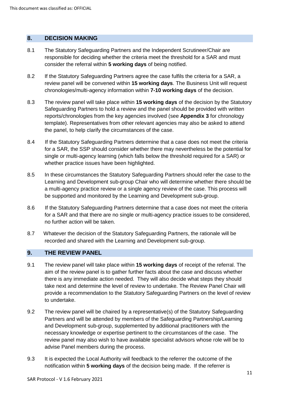#### **8. DECISION MAKING**

- 8.1 The Statutory Safeguarding Partners and the Independent Scrutineer/Chair are responsible for deciding whether the criteria meet the threshold for a SAR and must consider the referral within **5 working days** of being notified.
- 8.2 If the Statutory Safeguarding Partners agree the case fulfils the criteria for a SAR, a review panel will be convened within **15 working days**. The Business Unit will request chronologies/multi-agency information within **7-10 working days** of the decision.
- 8.3 The review panel will take place within **15 working days** of the decision by the Statutory Safeguarding Partners to hold a review and the panel should be provided with written reports/chronologies from the key agencies involved (see **Appendix 3** for chronology template). Representatives from other relevant agencies may also be asked to attend the panel, to help clarify the circumstances of the case.
- 8.4If the Statutory Safeguarding Partners determine that a case does not meet the criteria for a SAR, the SSP should consider whether there may nevertheless be the potential for single or multi-agency learning (which falls below the threshold required for a SAR) or whether practice issues have been highlighted.
- 8.5 In these circumstances the Statutory Safeguarding Partners should refer the case to the Learning and Development sub-group Chair who will determine whether there should be a multi-agency practice review or a single agency review of the case. This process will be supported and monitored by the Learning and Development sub-group.
- 8.6If the Statutory Safeguarding Partners determine that a case does not meet the criteria for a SAR and that there are no single or multi-agency practice issues to be considered, no further action will be taken.
- 8.7Whatever the decision of the Statutory Safeguarding Partners, the rationale will be recorded and shared with the Learning and Development sub-group.

#### **9. THE REVIEW PANEL**

- 9.1 The review panel will take place within **15 working days** of receipt of the referral. The aim of the review panel is to gather further facts about the case and discuss whether there is any immediate action needed. They will also decide what steps they should take next and determine the level of review to undertake. The Review Panel Chair will provide a recommendation to the Statutory Safeguarding Partners on the level of review to undertake.
- 9.2 The review panel will be chaired by a representative(s) of the Statutory Safeguarding Partners and will be attended by members of the Safeguarding Partnership/Learning and Development sub-group, supplemented by additional practitioners with the necessary knowledge or expertise pertinent to the circumstances of the case. The review panel may also wish to have available specialist advisors whose role will be to advise Panel members during the process.
- 9.3 It is expected the Local Authority will feedback to the referrer the outcome of the notification within **5 working days** of the decision being made. If the referrer is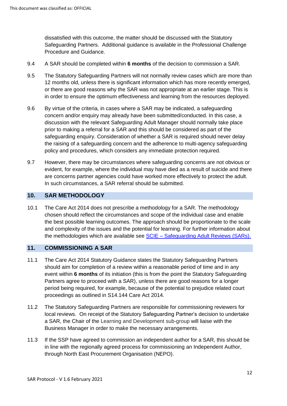dissatisfied with this outcome, the matter should be discussed with the Statutory Safeguarding Partners. Additional guidance is available in the Professional Challenge Procedure and Guidance.

- 9.4 A SAR should be completed within **6 months** of the decision to commission a SAR.
- 9.5 The Statutory Safeguarding Partners will not normally review cases which are more than 12 months old, unless there is significant information which has more recently emerged, or there are good reasons why the SAR was not appropriate at an earlier stage. This is in order to ensure the optimum effectiveness and learning from the resources deployed.
- 9.6 By virtue of the criteria, in cases where a SAR may be indicated, a safeguarding concern and/or enquiry may already have been submitted/conducted. In this case, a discussion with the relevant Safeguarding Adult Manager should normally take place prior to making a referral for a SAR and this should be considered as part of the safeguarding enquiry. Consideration of whether a SAR is required should never delay the raising of a safeguarding concern and the adherence to multi-agency safeguarding policy and procedures, which considers any immediate protection required.
- 9.7 However, there may be circumstances where safeguarding concerns are not obvious or evident, for example, where the individual may have died as a result of suicide and there are concerns partner agencies could have worked more effectively to protect the adult. In such circumstances, a SAR referral should be submitted.

#### **10. SAR METHODOLOGY**

10.1 The Care Act 2014 does not prescribe a methodology for a SAR. The methodology chosen should reflect the circumstances and scope of the individual case and enable the best possible learning outcomes. The approach should be proportionate to the scale and complexity of the issues and the potential for learning. For further information about the methodologies which are available see SCIE – [Safeguarding Adult Reviews \(SARs\).](https://www.scie.org.uk/safeguarding/adults/reviews/care-act) 

#### **11. COMMISSIONING A SAR**

- 11.1 The Care Act 2014 Statutory Guidance states the Statutory Safeguarding Partners should aim for completion of a review within a reasonable period of time and in any event within **6 months** of its initiation (this is from the point the Statutory Safeguarding Partners agree to proceed with a SAR), unless there are good reasons for a longer period being required, for example, because of the potential to prejudice related court proceedings as outlined in S14.144 Care Act 2014.
- 11.2 The Statutory Safeguarding Partners are responsible for commissioning reviewers for local reviews. On receipt of the Statutory Safeguarding Partner's decision to undertake a SAR, the Chair of the Learning and Development sub-group will liaise with the Business Manager in order to make the necessary arrangements.
- 11.3 If the SSP have agreed to commission an independent author for a SAR, this should be in line with the regionally agreed process for commissioning an Independent Author, through North East Procurement Organisation (NEPO).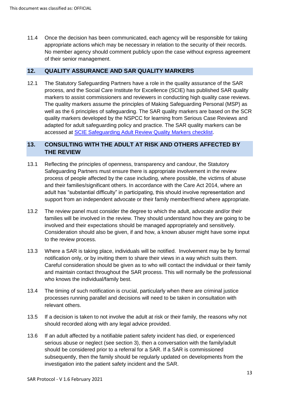11.4 Once the decision has been communicated, each agency will be responsible for taking appropriate actions which may be necessary in relation to the security of their records. No member agency should comment publicly upon the case without express agreement of their senior management.

#### **12. QUALITY ASSURANCE AND SAR QUALITY MARKERS**

12.1 The Statutory Safeguarding Partners have a role in the quality assurance of the SAR process, and the Social Care Institute for Excellence (SCIE) has published SAR quality markers to assist commissioners and reviewers in conducting high quality case reviews. The quality markers assume the principles of Making Safeguarding Personal (MSP) as well as the 6 principles of safeguarding. The SAR quality markers are based on the SCR quality markers developed by the NSPCC for learning from Serious Case Reviews and adapted for adult safeguarding policy and practice. The SAR quality markers can be accessed at [SCIE Safeguarding Adult Review Quality Markers checklist.](https://www.scie.org.uk/files/safeguarding/adults/reviews/library/quality-markers/v1SAR%20Quality%20Markers%2014%20June%202018-%20checklist.pdf)

# **13. CONSULTING WITH THE ADULT AT RISK AND OTHERS AFFECTED BY THE REVIEW**

- 13.1 Reflecting the principles of openness, transparency and candour, the Statutory Safeguarding Partners must ensure there is appropriate involvement in the review process of people affected by the case including, where possible, the victims of abuse and their families/significant others. In accordance with the Care Act 2014, where an adult has "substantial difficulty" in participating, this should involve representation and support from an independent advocate or their family member/friend where appropriate.
- 13.2 The review panel must consider the degree to which the adult, advocate and/or their families will be involved in the review. They should understand how they are going to be involved and their expectations should be managed appropriately and sensitively. Consideration should also be given, if and how, a known abuser might have some input to the review process.
- 13.3 Where a SAR is taking place, individuals will be notified. Involvement may be by formal notification only, or by inviting them to share their views in a way which suits them. Careful consideration should be given as to who will contact the individual or their family and maintain contact throughout the SAR process. This will normally be the professional who knows the individual/family best.
- 13.4 The timing of such notification is crucial, particularly when there are criminal justice processes running parallel and decisions will need to be taken in consultation with relevant others.
- 13.5 If a decision is taken to not involve the adult at risk or their family, the reasons why not should recorded along with any legal advice provided.
- 13.6 If an adult affected by a notifiable patient safety incident has died, or experienced serious abuse or neglect (see section 3), then a conversation with the family/adult should be considered prior to a referral for a SAR. If a SAR is commissioned subsequently, then the family should be regularly updated on developments from the investigation into the patient safety incident and the SAR.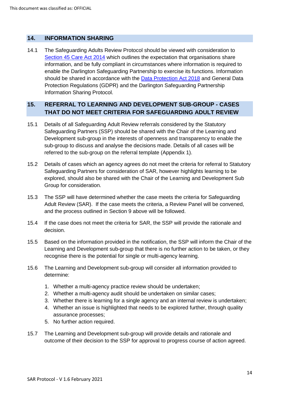### **14. INFORMATION SHARING**

14.1 The Safeguarding Adults Review Protocol should be viewed with consideration to [Section 45 Care Act 2014](http://www.legislation.gov.uk/ukpga/2014/23/section/45) which outlines the expectation that organisations share information, and be fully compliant in circumstances where information is required to enable the Darlington Safeguarding Partnership to exercise its functions. Information should be shared in accordance with the [Data Protection Act 2018](http://www.legislation.gov.uk/ukpga/2018/12/enacted) and General Data Protection Regulations (GDPR) and the Darlington Safeguarding Partnership Information Sharing Protocol.

### **15. REFERRAL TO LEARNING AND DEVELOPMENT SUB-GROUP - CASES THAT DO NOT MEET CRITERIA FOR SAFEGUARDING ADULT REVIEW**

- 15.1 Details of all Safeguarding Adult Review referrals considered by the Statutory Safeguarding Partners (SSP) should be shared with the Chair of the Learning and Development sub-group in the interests of openness and transparency to enable the sub-group to discuss and analyse the decisions made. Details of all cases will be referred to the sub-group on the referral template (Appendix 1).
- 15.2 Details of cases which an agency agrees do not meet the criteria for referral to Statutory Safeguarding Partners for consideration of SAR, however highlights learning to be explored, should also be shared with the Chair of the Learning and Development Sub Group for consideration.
- 15.3 The SSP will have determined whether the case meets the criteria for Safeguarding Adult Review (SAR). If the case meets the criteria, a Review Panel will be convened, and the process outlined in Section 9 above will be followed.
- 15.4 If the case does not meet the criteria for SAR, the SSP will provide the rationale and decision.
- 15.5 Based on the information provided in the notification, the SSP will inform the Chair of the Learning and Development sub-group that there is no further action to be taken, or they recognise there is the potential for single or multi-agency learning.
- 15.6 The Learning and Development sub-group will consider all information provided to determine:
	- 1. Whether a multi-agency practice review should be undertaken;
	- 2. Whether a multi-agency audit should be undertaken on similar cases;
	- 3. Whether there is learning for a single agency and an internal review is undertaken;
	- 4. Whether an issue is highlighted that needs to be explored further, through quality assurance processes;
	- 5. No further action required.
- 15.7 The Learning and Development sub-group will provide details and rationale and outcome of their decision to the SSP for approval to progress course of action agreed.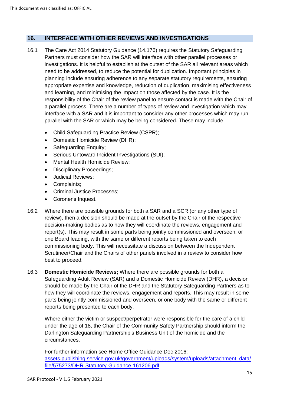### **16. INTERFACE WITH OTHER REVIEWS AND INVESTIGATIONS**

- 16.1 The Care Act 2014 Statutory Guidance (14.176) requires the Statutory Safeguarding Partners must consider how the SAR will interface with other parallel processes or investigations. It is helpful to establish at the outset of the SAR all relevant areas which need to be addressed, to reduce the potential for duplication. Important principles in planning include ensuring adherence to any separate statutory requirements, ensuring appropriate expertise and knowledge, reduction of duplication, maximising effectiveness and learning, and minimising the impact on those affected by the case. It is the responsibility of the Chair of the review panel to ensure contact is made with the Chair of a parallel process. There are a number of types of review and investigation which may interface with a SAR and it is important to consider any other processes which may run parallel with the SAR or which may be being considered. These may include:
	- Child Safeguarding Practice Review (CSPR);
	- Domestic Homicide Review (DHR);
	- Safeguarding Enquiry;
	- Serious Untoward Incident Investigations (SUI);
	- Mental Health Homicide Review;
	- Disciplinary Proceedings;
	- Judicial Reviews;
	- Complaints;
	- Criminal Justice Processes;
	- Coroner's Inquest.
- 16.2 Where there are possible grounds for both a SAR and a SCR (or any other type of review), then a decision should be made at the outset by the Chair of the respective decision-making bodies as to how they will coordinate the reviews, engagement and report(s). This may result in some parts being jointly commissioned and overseen, or one Board leading, with the same or different reports being taken to each commissioning body. This will necessitate a discussion between the Independent Scrutineer/Chair and the Chairs of other panels involved in a review to consider how best to proceed.
- 16.3 **Domestic Homicide Reviews;** Where there are possible grounds for both a Safeguarding Adult Review (SAR) and a Domestic Homicide Review (DHR), a decision should be made by the Chair of the DHR and the Statutory Safeguarding Partners as to how they will coordinate the reviews, engagement and reports. This may result in some parts being jointly commissioned and overseen, or one body with the same or different reports being presented to each body.

Where either the victim or suspect/perpetrator were responsible for the care of a child under the age of 18, the Chair of the Community Safety Partnership should inform the Darlington Safeguarding Partnership's Business Unit of the homicide and the circumstances.

For further information see Home Office Guidance Dec 2016: [assets.publishing.service.gov.uk/government/uploads/system/uploads/attachment\\_data/](https://assets.publishing.service.gov.uk/government/uploads/system/uploads/attachment_data/file/575273/DHR-Statutory-Guidance-161206.pdf) [file/575273/DHR-Statutory-Guidance-161206.pdf](https://assets.publishing.service.gov.uk/government/uploads/system/uploads/attachment_data/file/575273/DHR-Statutory-Guidance-161206.pdf)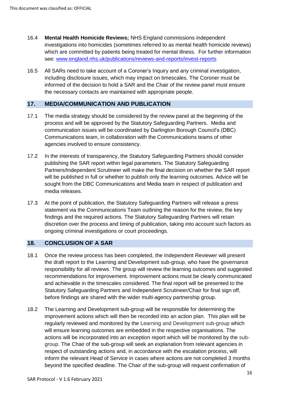- 16.4 **Mental Health Homicide Reviews;** NHS England commissions independent investigations into homicides (sometimes referred to as mental health homicide reviews) which are committed by patients being treated for mental illness. For further information see: [www.england.nhs.uk/publications/reviews-and-reports/invest-reports](http://www.england.nhs.uk/publications/reviews-and-reports/invest-reports/)
- 16.5 All SARs need to take account of a Coroner's Inquiry and any criminal investigation, including disclosure issues, which may impact on timescales. The Coroner must be informed of the decision to hold a SAR and the Chair of the review panel must ensure the necessary contacts are maintained with appropriate people.

#### **17. MEDIA/COMMUNICATION AND PUBLICATION**

- 17.1 The media strategy should be considered by the review panel at the beginning of the process and will be approved by the Statutory Safeguarding Partners. Media and communication issues will be coordinated by Darlington Borough Council's (DBC) Communications team, in collaboration with the Communications teams of other agencies involved to ensure consistency.
- 17.2 In the interests of transparency, the Statutory Safeguarding Partners should consider publishing the SAR report within legal parameters. The Statutory Safeguarding Partners/Independent Scrutineer will make the final decision on whether the SAR report will be published in full or whether to publish only the learning outcomes. Advice will be sought from the DBC Communications and Media team in respect of publication and media releases.
- 17.3 At the point of publication, the Statutory Safeguarding Partners will release a press statement via the Communications Team outlining the reason for the review, the key findings and the required actions. The Statutory Safeguarding Partners will retain discretion over the process and timing of publication, taking into account such factors as ongoing criminal investigations or court proceedings.

#### **18. CONCLUSION OF A SAR**

- 18.1 Once the review process has been completed, the Independent Reviewer will present the draft report to the Learning and Development sub-group, who have the governance responsibility for all reviews. The group will review the learning outcomes and suggested recommendations for improvement. Improvement actions must be clearly communicated and achievable in the timescales considered. The final report will be presented to the Statutory Safeguarding Partners and Independent Scrutineer/Chair for final sign off, before findings are shared with the wider multi-agency partnership group.
- 18.2 The Learning and Development sub-group will be responsible for determining the improvement actions which will then be recorded into an action plan. This plan will be regularly reviewed and monitored by the Learning and Development sub-group which will ensure learning outcomes are embedded in the respective organisations. The actions will be incorporated into an exception report which will be monitored by the subgroup. The Chair of the sub-group will seek an explanation from relevant agencies in respect of outstanding actions and, in accordance with the escalation process, will inform the relevant Head of Service in cases where actions are not completed 3 months beyond the specified deadline. The Chair of the sub-group will request confirmation of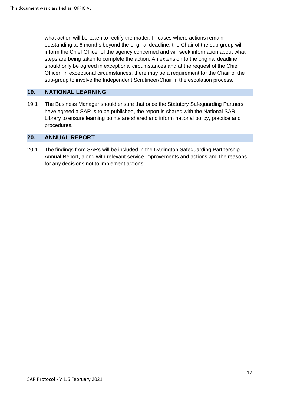what action will be taken to rectify the matter. In cases where actions remain outstanding at 6 months beyond the original deadline, the Chair of the sub-group will inform the Chief Officer of the agency concerned and will seek information about what steps are being taken to complete the action. An extension to the original deadline should only be agreed in exceptional circumstances and at the request of the Chief Officer. In exceptional circumstances, there may be a requirement for the Chair of the sub-group to involve the Independent Scrutineer/Chair in the escalation process.

### **19. NATIONAL LEARNING**

19.1 The Business Manager should ensure that once the Statutory Safeguarding Partners have agreed a SAR is to be published, the report is shared with the National SAR Library to ensure learning points are shared and inform national policy, practice and procedures.

#### **20. ANNUAL REPORT**

20.1 The findings from SARs will be included in the Darlington Safeguarding Partnership Annual Report, along with relevant service improvements and actions and the reasons for any decisions not to implement actions.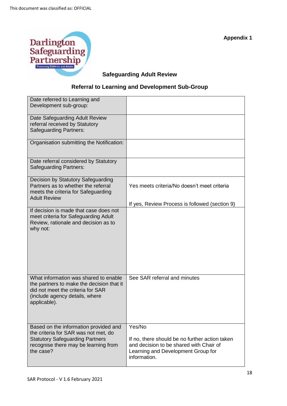

# **Safeguarding Adult Review**

# **Referral to Learning and Development Sub-Group**

| Date referred to Learning and             |                                                |
|-------------------------------------------|------------------------------------------------|
| Development sub-group:                    |                                                |
|                                           |                                                |
| Date Safeguarding Adult Review            |                                                |
| referral received by Statutory            |                                                |
| Safeguarding Partners:                    |                                                |
|                                           |                                                |
| Organisation submitting the Notification: |                                                |
|                                           |                                                |
| Date referral considered by Statutory     |                                                |
| Safeguarding Partners:                    |                                                |
|                                           |                                                |
| Decision by Statutory Safeguarding        |                                                |
| Partners as to whether the referral       | Yes meets criteria/No doesn't meet criteria    |
| meets the criteria for Safeguarding       |                                                |
| <b>Adult Review</b>                       |                                                |
|                                           | If yes, Review Process is followed (section 9) |
| If decision is made that case does not    |                                                |
| meet criteria for Safeguarding Adult      |                                                |
| Review, rationale and decision as to      |                                                |
| why not:                                  |                                                |
|                                           |                                                |
|                                           |                                                |
|                                           |                                                |
|                                           |                                                |
|                                           |                                                |
|                                           |                                                |
| What information was shared to enable     | See SAR referral and minutes                   |
| the partners to make the decision that it |                                                |
| did not meet the criteria for SAR         |                                                |
| (include agency details, where            |                                                |
| applicable).                              |                                                |
|                                           |                                                |
|                                           |                                                |
| Based on the information provided and     | Yes/No                                         |
| the criteria for SAR was not met, do      |                                                |
| <b>Statutory Safeguarding Partners</b>    | If no, there should be no further action taken |
| recognise there may be learning from      | and decision to be shared with Chair of        |
| the case?                                 | Learning and Development Group for             |
|                                           | information.                                   |
|                                           |                                                |

**Appendix 1**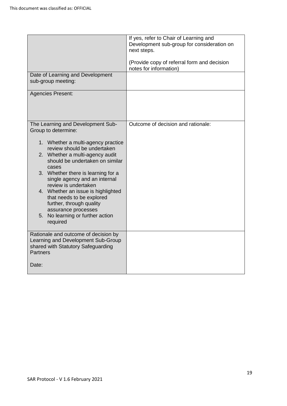|                                                                                                                                                                                                                                                                                                                                                                                                                       | If yes, refer to Chair of Learning and<br>Development sub-group for consideration on<br>next steps. |
|-----------------------------------------------------------------------------------------------------------------------------------------------------------------------------------------------------------------------------------------------------------------------------------------------------------------------------------------------------------------------------------------------------------------------|-----------------------------------------------------------------------------------------------------|
|                                                                                                                                                                                                                                                                                                                                                                                                                       | (Provide copy of referral form and decision<br>notes for information)                               |
| Date of Learning and Development<br>sub-group meeting:                                                                                                                                                                                                                                                                                                                                                                |                                                                                                     |
| <b>Agencies Present:</b>                                                                                                                                                                                                                                                                                                                                                                                              |                                                                                                     |
| The Learning and Development Sub-<br>Group to determine:                                                                                                                                                                                                                                                                                                                                                              | Outcome of decision and rationale:                                                                  |
| 1. Whether a multi-agency practice<br>review should be undertaken<br>2. Whether a multi-agency audit<br>should be undertaken on similar<br>cases<br>3. Whether there is learning for a<br>single agency and an internal<br>review is undertaken<br>4. Whether an issue is highlighted<br>that needs to be explored<br>further, through quality<br>assurance processes<br>5. No learning or further action<br>required |                                                                                                     |
| Rationale and outcome of decision by<br>Learning and Development Sub-Group<br>shared with Statutory Safeguarding<br><b>Partners</b>                                                                                                                                                                                                                                                                                   |                                                                                                     |
| Date:                                                                                                                                                                                                                                                                                                                                                                                                                 |                                                                                                     |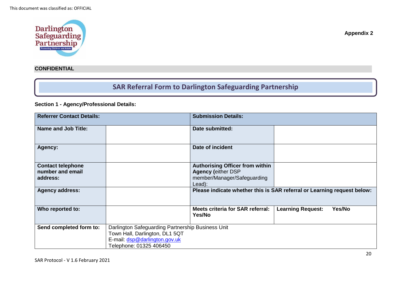

# **SAR Referral Form to Darlington Safeguarding Partnership**

### **Section 1 - Agency/Professional Details:**

| <b>Referrer Contact Details:</b> |                                                   | <b>Submission Details:</b>                                              |                          |        |
|----------------------------------|---------------------------------------------------|-------------------------------------------------------------------------|--------------------------|--------|
| <b>Name and Job Title:</b>       |                                                   | Date submitted:                                                         |                          |        |
| Agency:                          |                                                   | Date of incident                                                        |                          |        |
| <b>Contact telephone</b>         |                                                   | <b>Authorising Officer from within</b>                                  |                          |        |
| number and email                 |                                                   | <b>Agency (either DSP</b>                                               |                          |        |
| address:                         |                                                   | member/Manager/Safeguarding                                             |                          |        |
|                                  |                                                   | Lead):                                                                  |                          |        |
| <b>Agency address:</b>           |                                                   | Please indicate whether this is SAR referral or Learning request below: |                          |        |
| Who reported to:                 |                                                   | Meets criteria for SAR referral:<br>Yes/No                              | <b>Learning Request:</b> | Yes/No |
| Send completed form to:          | Darlington Safeguarding Partnership Business Unit |                                                                         |                          |        |
|                                  | Town Hall, Darlington, DL1 5QT                    |                                                                         |                          |        |
|                                  | E-mail: dsp@darlington.gov.uk                     |                                                                         |                          |        |
|                                  | Telephone: 01325 406450                           |                                                                         |                          |        |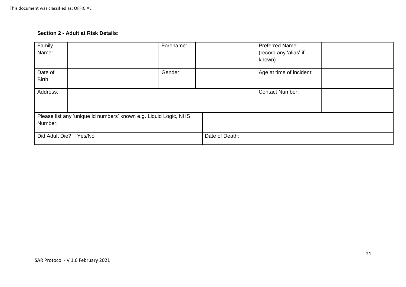### **Section 2 - Adult at Risk Details:**

| Family<br>Name:   |                                                                  | Forename: |                | Preferred Name:<br>(record any 'alias' if<br>known) |  |
|-------------------|------------------------------------------------------------------|-----------|----------------|-----------------------------------------------------|--|
| Date of<br>Birth: |                                                                  | Gender:   |                | Age at time of incident:                            |  |
| Address:          |                                                                  |           |                | <b>Contact Number:</b>                              |  |
|                   | Please list any 'unique id numbers' known e.g. Liquid Logic, NHS |           |                |                                                     |  |
| Number:           |                                                                  |           |                |                                                     |  |
| Did Adult Die?    | Yes/No                                                           |           | Date of Death: |                                                     |  |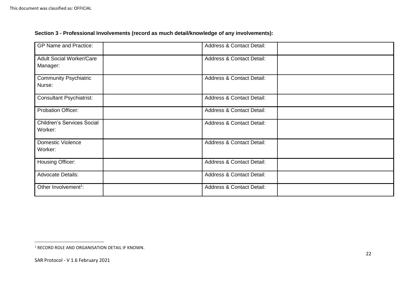# **Section 3 - Professional Involvements (record as much detail/knowledge of any involvements):**

| <b>GP Name and Practice:</b>                 | <b>Address &amp; Contact Detail:</b> |  |
|----------------------------------------------|--------------------------------------|--|
| <b>Adult Social Worker/Care</b><br>Manager:  | <b>Address &amp; Contact Detail:</b> |  |
| <b>Community Psychiatric</b><br>Nurse:       | <b>Address &amp; Contact Detail:</b> |  |
| <b>Consultant Psychiatrist:</b>              | <b>Address &amp; Contact Detail:</b> |  |
| <b>Probation Officer:</b>                    | <b>Address &amp; Contact Detail:</b> |  |
| <b>Children's Services Social</b><br>Worker: | <b>Address &amp; Contact Detail:</b> |  |
| <b>Domestic Violence</b><br>Worker:          | <b>Address &amp; Contact Detail:</b> |  |
| Housing Officer:                             | <b>Address &amp; Contact Detail:</b> |  |
| <b>Advocate Details:</b>                     | <b>Address &amp; Contact Detail:</b> |  |
| Other Involvement <sup>1</sup> :             | <b>Address &amp; Contact Detail:</b> |  |

 $\overline{a}$ 

 $1$  RECORD ROLE AND ORGANISATION DETAIL IF KNOWN.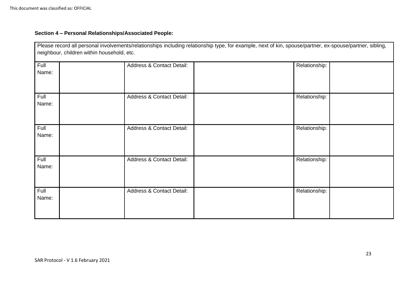# **Section 4 – Personal Relationships/Associated People:**

| Please record all personal involvements/relationships including relationship type, for example, next of kin, spouse/partner, ex-spouse/partner, sibling,<br>neighbour, children within household, etc. |                                      |               |  |  |
|--------------------------------------------------------------------------------------------------------------------------------------------------------------------------------------------------------|--------------------------------------|---------------|--|--|
| Full<br>Name:                                                                                                                                                                                          | <b>Address &amp; Contact Detail:</b> | Relationship: |  |  |
| Full<br>Name:                                                                                                                                                                                          | <b>Address &amp; Contact Detail:</b> | Relationship: |  |  |
| Full<br>Name:                                                                                                                                                                                          | <b>Address &amp; Contact Detail:</b> | Relationship: |  |  |
| Full<br>Name:                                                                                                                                                                                          | <b>Address &amp; Contact Detail:</b> | Relationship: |  |  |
| Full<br>Name:                                                                                                                                                                                          | Address & Contact Detail:            | Relationship: |  |  |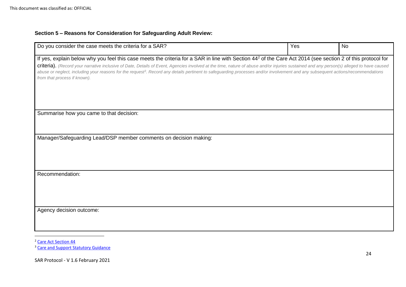# **Section 5 – Reasons for Consideration for Safeguarding Adult Review:**

| Do you consider the case meets the criteria for a SAR?                                                                                                                                                                                                                                                                                                                                                                   | Yes | <b>No</b> |  |  |
|--------------------------------------------------------------------------------------------------------------------------------------------------------------------------------------------------------------------------------------------------------------------------------------------------------------------------------------------------------------------------------------------------------------------------|-----|-----------|--|--|
| If yes, explain below why you feel this case meets the criteria for a SAR in line with Section 44 <sup>2</sup> of the Care Act 2014 (see section 2 of this protocol for                                                                                                                                                                                                                                                  |     |           |  |  |
| criteria). (Record your narrative inclusive of Date, Details of Event, Agencies involved at the time, nature of abuse and/or injuries sustained and any person(s) alleged to have caused<br>abuse or neglect, including your reasons for the request <sup>3</sup> . Record any details pertinent to safeguarding processes and/or involvement and any subsequent actions/recommendations<br>from that process if known). |     |           |  |  |
|                                                                                                                                                                                                                                                                                                                                                                                                                          |     |           |  |  |
| Summarise how you came to that decision:                                                                                                                                                                                                                                                                                                                                                                                 |     |           |  |  |
| Manager/Safeguarding Lead/DSP member comments on decision making:                                                                                                                                                                                                                                                                                                                                                        |     |           |  |  |
| Recommendation:                                                                                                                                                                                                                                                                                                                                                                                                          |     |           |  |  |
| Agency decision outcome:                                                                                                                                                                                                                                                                                                                                                                                                 |     |           |  |  |

<sup>2</sup> [Care Act Section 44](http://www.legislation.gov.uk/ukpga/2014/23/section/44/enacted)

 $\overline{\phantom{a}}$ 

<sup>&</sup>lt;sup>3</sup> [Care and Support Statutory Guidance](https://www.gov.uk/guidance/care-and-support-statutory-guidance)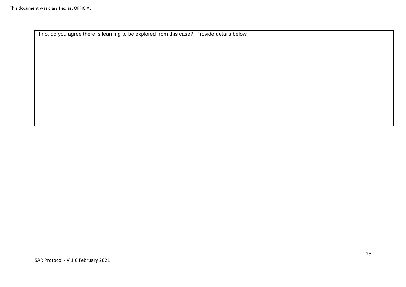If no, do you agree there is learning to be explored from this case? Provide details below: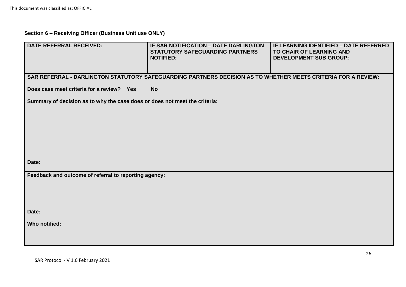# **Section 6 – Receiving Officer (Business Unit use ONLY)**

| <b>DATE REFERRAL RECEIVED:</b>                                             | IF SAR NOTIFICATION - DATE DARLINGTON<br><b>STATUTORY SAFEGUARDING PARTNERS</b><br><b>NOTIFIED:</b>           | IF LEARNING IDENTIFIED - DATE REFERRED<br>TO CHAIR OF LEARNING AND<br><b>DEVELOPMENT SUB GROUP:</b> |  |  |
|----------------------------------------------------------------------------|---------------------------------------------------------------------------------------------------------------|-----------------------------------------------------------------------------------------------------|--|--|
|                                                                            | SAR REFERRAL - DARLINGTON STATUTORY SAFEGUARDING PARTNERS DECISION AS TO WHETHER MEETS CRITERIA FOR A REVIEW: |                                                                                                     |  |  |
| Does case meet criteria for a review? Yes                                  | <b>No</b>                                                                                                     |                                                                                                     |  |  |
| Summary of decision as to why the case does or does not meet the criteria: |                                                                                                               |                                                                                                     |  |  |
|                                                                            |                                                                                                               |                                                                                                     |  |  |
|                                                                            |                                                                                                               |                                                                                                     |  |  |
|                                                                            |                                                                                                               |                                                                                                     |  |  |
|                                                                            |                                                                                                               |                                                                                                     |  |  |
| Date:                                                                      |                                                                                                               |                                                                                                     |  |  |
| Feedback and outcome of referral to reporting agency:                      |                                                                                                               |                                                                                                     |  |  |
|                                                                            |                                                                                                               |                                                                                                     |  |  |
|                                                                            |                                                                                                               |                                                                                                     |  |  |
| Date:                                                                      |                                                                                                               |                                                                                                     |  |  |
| Who notified:                                                              |                                                                                                               |                                                                                                     |  |  |
|                                                                            |                                                                                                               |                                                                                                     |  |  |
|                                                                            |                                                                                                               |                                                                                                     |  |  |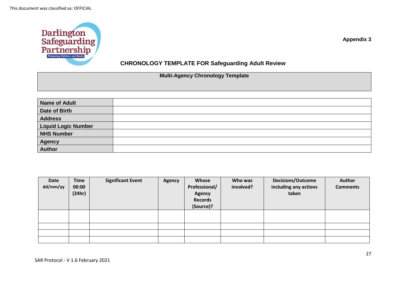

**Appendix 3**

# **CHRONOLOGY TEMPLATE FOR Safeguarding Adult Review**

# **Multi-Agency Chronology Template**

| <b>Name of Adult</b>       |  |
|----------------------------|--|
| Date of Birth              |  |
| <b>Address</b>             |  |
| <b>Liquid Logic Number</b> |  |
| <b>NHS Number</b>          |  |
| <b>Agency</b>              |  |
| <b>Author</b>              |  |

| Date<br>dd/mm/yy | <b>Time</b><br>00:00<br>(24hr) | <b>Significant Event</b> | <b>Agency</b> | Whose<br>Professional/<br><b>Agency</b><br><b>Records</b><br>(Source)? | Who was<br>involved? | <b>Decisions/Outcome</b><br>including any actions<br>taken | Author<br><b>Comments</b> |
|------------------|--------------------------------|--------------------------|---------------|------------------------------------------------------------------------|----------------------|------------------------------------------------------------|---------------------------|
|                  |                                |                          |               |                                                                        |                      |                                                            |                           |
|                  |                                |                          |               |                                                                        |                      |                                                            |                           |
|                  |                                |                          |               |                                                                        |                      |                                                            |                           |
|                  |                                |                          |               |                                                                        |                      |                                                            |                           |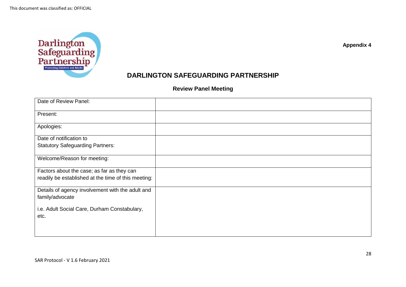

**Appendix 4**

# **DARLINGTON SAFEGUARDING PARTNERSHIP**

**Review Panel Meeting** 

| Date of Review Panel:                               |  |
|-----------------------------------------------------|--|
| Present:                                            |  |
| Apologies:                                          |  |
| Date of notification to                             |  |
| <b>Statutory Safeguarding Partners:</b>             |  |
| Welcome/Reason for meeting:                         |  |
| Factors about the case; as far as they can          |  |
| readily be established at the time of this meeting: |  |
| Details of agency involvement with the adult and    |  |
| family/advocate                                     |  |
| i.e. Adult Social Care, Durham Constabulary,        |  |
| etc.                                                |  |
|                                                     |  |
|                                                     |  |
|                                                     |  |